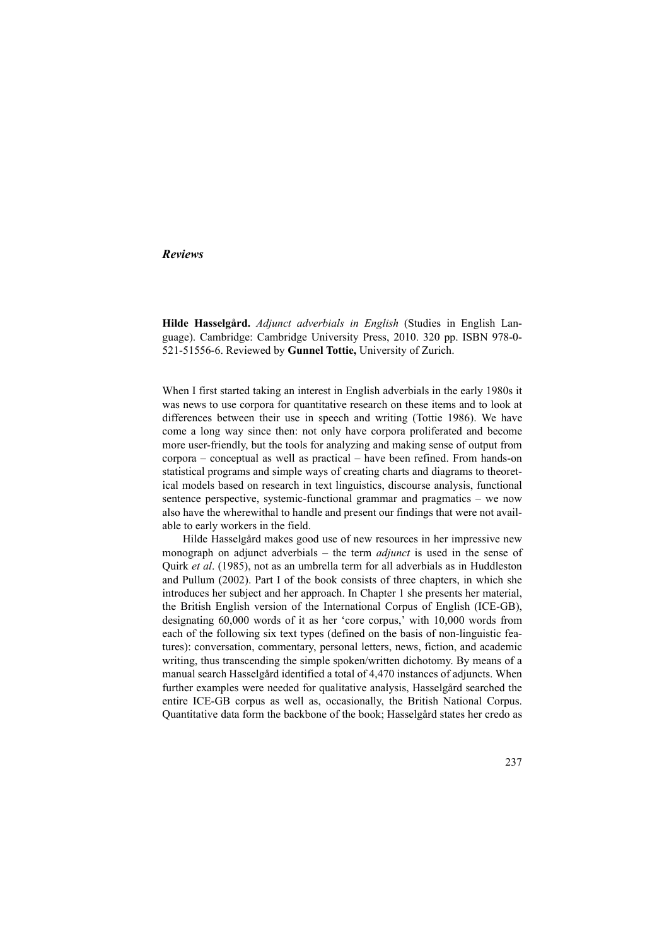# *Reviews*

**Hilde Hasselgård.** *Adjunct adverbials in English* (Studies in English Language). Cambridge: Cambridge University Press, 2010. 320 pp. ISBN 978-0- 521-51556-6. Reviewed by **Gunnel Tottie,** University of Zurich.

When I first started taking an interest in English adverbials in the early 1980s it was news to use corpora for quantitative research on these items and to look at differences between their use in speech and writing (Tottie 1986). We have come a long way since then: not only have corpora proliferated and become more user-friendly, but the tools for analyzing and making sense of output from corpora – conceptual as well as practical – have been refined. From hands-on statistical programs and simple ways of creating charts and diagrams to theoretical models based on research in text linguistics, discourse analysis, functional sentence perspective, systemic-functional grammar and pragmatics – we now also have the wherewithal to handle and present our findings that were not available to early workers in the field.

Hilde Hasselgård makes good use of new resources in her impressive new monograph on adjunct adverbials – the term *adjunct* is used in the sense of Quirk *et al*. (1985), not as an umbrella term for all adverbials as in Huddleston and Pullum (2002). Part I of the book consists of three chapters, in which she introduces her subject and her approach. In Chapter 1 she presents her material, the British English version of the International Corpus of English (ICE-GB), designating 60,000 words of it as her 'core corpus,' with 10,000 words from each of the following six text types (defined on the basis of non-linguistic features): conversation, commentary, personal letters, news, fiction, and academic writing, thus transcending the simple spoken/written dichotomy. By means of a manual search Hasselgård identified a total of 4,470 instances of adjuncts. When further examples were needed for qualitative analysis, Hasselgård searched the entire ICE-GB corpus as well as, occasionally, the British National Corpus. Quantitative data form the backbone of the book; Hasselgård states her credo as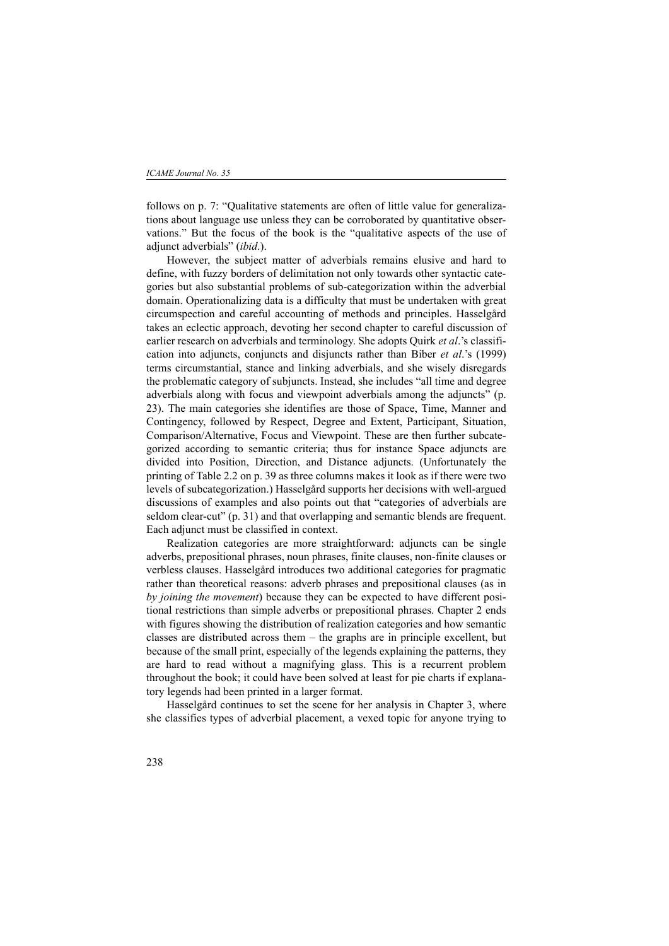follows on p. 7: "Qualitative statements are often of little value for generalizations about language use unless they can be corroborated by quantitative observations." But the focus of the book is the "qualitative aspects of the use of adjunct adverbials" (*ibid*.).

However, the subject matter of adverbials remains elusive and hard to define, with fuzzy borders of delimitation not only towards other syntactic categories but also substantial problems of sub-categorization within the adverbial domain. Operationalizing data is a difficulty that must be undertaken with great circumspection and careful accounting of methods and principles. Hasselgård takes an eclectic approach, devoting her second chapter to careful discussion of earlier research on adverbials and terminology. She adopts Quirk *et al*.'s classification into adjuncts, conjuncts and disjuncts rather than Biber *et al*.'s (1999) terms circumstantial, stance and linking adverbials, and she wisely disregards the problematic category of subjuncts. Instead, she includes "all time and degree adverbials along with focus and viewpoint adverbials among the adjuncts" (p. 23). The main categories she identifies are those of Space, Time, Manner and Contingency, followed by Respect, Degree and Extent, Participant, Situation, Comparison/Alternative, Focus and Viewpoint. These are then further subcategorized according to semantic criteria; thus for instance Space adjuncts are divided into Position, Direction, and Distance adjuncts. (Unfortunately the printing of Table 2.2 on p. 39 as three columns makes it look as if there were two levels of subcategorization.) Hasselgård supports her decisions with well-argued discussions of examples and also points out that "categories of adverbials are seldom clear-cut" (p. 31) and that overlapping and semantic blends are frequent. Each adjunct must be classified in context.

Realization categories are more straightforward: adjuncts can be single adverbs, prepositional phrases, noun phrases, finite clauses, non-finite clauses or verbless clauses. Hasselgård introduces two additional categories for pragmatic rather than theoretical reasons: adverb phrases and prepositional clauses (as in *by joining the movement*) because they can be expected to have different positional restrictions than simple adverbs or prepositional phrases. Chapter 2 ends with figures showing the distribution of realization categories and how semantic classes are distributed across them – the graphs are in principle excellent, but because of the small print, especially of the legends explaining the patterns, they are hard to read without a magnifying glass. This is a recurrent problem throughout the book; it could have been solved at least for pie charts if explanatory legends had been printed in a larger format.

Hasselgård continues to set the scene for her analysis in Chapter 3, where she classifies types of adverbial placement, a vexed topic for anyone trying to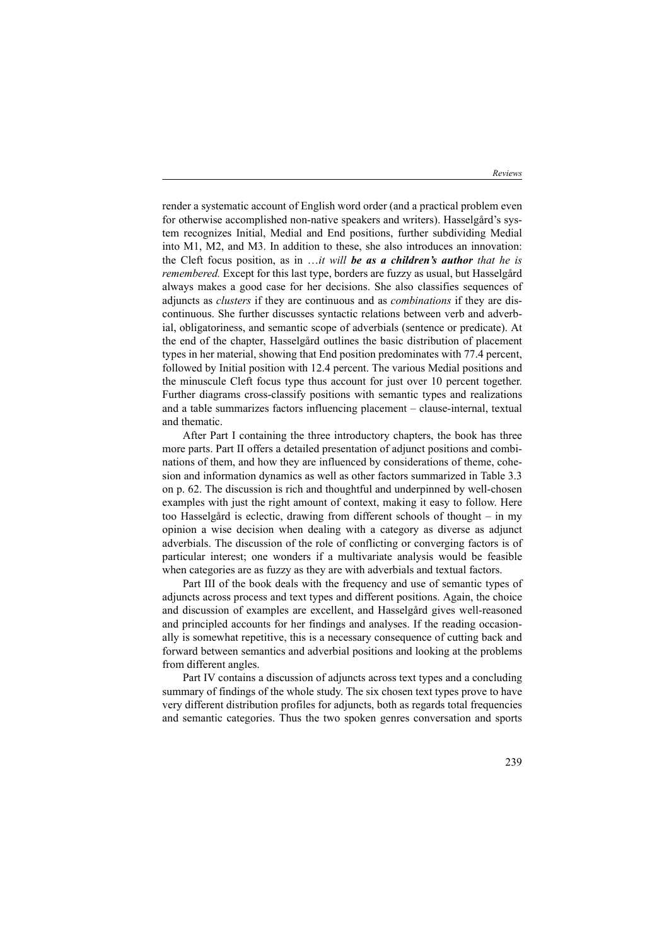render a systematic account of English word order (and a practical problem even for otherwise accomplished non-native speakers and writers). Hasselgård's system recognizes Initial, Medial and End positions, further subdividing Medial into M1, M2, and M3. In addition to these, she also introduces an innovation: the Cleft focus position, as in …*it will be as a children's author that he is remembered.* Except for this last type, borders are fuzzy as usual, but Hasselgård always makes a good case for her decisions. She also classifies sequences of adjuncts as *clusters* if they are continuous and as *combinations* if they are discontinuous. She further discusses syntactic relations between verb and adverbial, obligatoriness, and semantic scope of adverbials (sentence or predicate). At the end of the chapter, Hasselgård outlines the basic distribution of placement types in her material, showing that End position predominates with 77.4 percent, followed by Initial position with 12.4 percent. The various Medial positions and the minuscule Cleft focus type thus account for just over 10 percent together. Further diagrams cross-classify positions with semantic types and realizations and a table summarizes factors influencing placement – clause-internal, textual and thematic.

After Part I containing the three introductory chapters, the book has three more parts. Part II offers a detailed presentation of adjunct positions and combinations of them, and how they are influenced by considerations of theme, cohesion and information dynamics as well as other factors summarized in Table 3.3 on p. 62. The discussion is rich and thoughtful and underpinned by well-chosen examples with just the right amount of context, making it easy to follow. Here too Hasselgård is eclectic, drawing from different schools of thought – in my opinion a wise decision when dealing with a category as diverse as adjunct adverbials. The discussion of the role of conflicting or converging factors is of particular interest; one wonders if a multivariate analysis would be feasible when categories are as fuzzy as they are with adverbials and textual factors.

Part III of the book deals with the frequency and use of semantic types of adjuncts across process and text types and different positions. Again, the choice and discussion of examples are excellent, and Hasselgård gives well-reasoned and principled accounts for her findings and analyses. If the reading occasionally is somewhat repetitive, this is a necessary consequence of cutting back and forward between semantics and adverbial positions and looking at the problems from different angles.

Part IV contains a discussion of adjuncts across text types and a concluding summary of findings of the whole study. The six chosen text types prove to have very different distribution profiles for adjuncts, both as regards total frequencies and semantic categories. Thus the two spoken genres conversation and sports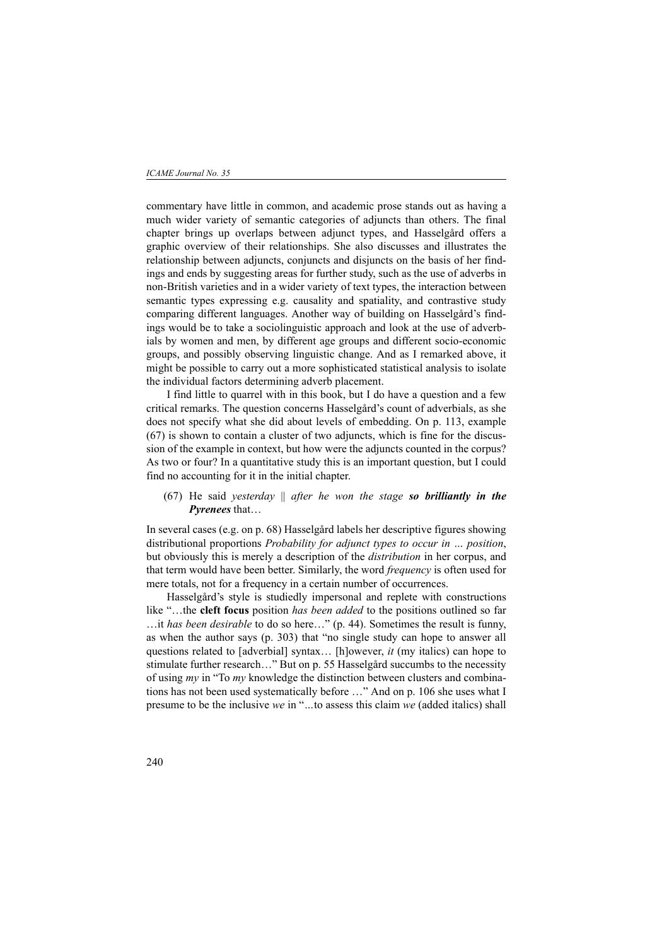commentary have little in common, and academic prose stands out as having a much wider variety of semantic categories of adjuncts than others. The final chapter brings up overlaps between adjunct types, and Hasselgård offers a graphic overview of their relationships. She also discusses and illustrates the relationship between adjuncts, conjuncts and disjuncts on the basis of her findings and ends by suggesting areas for further study, such as the use of adverbs in non-British varieties and in a wider variety of text types, the interaction between semantic types expressing e.g. causality and spatiality, and contrastive study comparing different languages. Another way of building on Hasselgård's findings would be to take a sociolinguistic approach and look at the use of adverbials by women and men, by different age groups and different socio-economic groups, and possibly observing linguistic change. And as I remarked above, it might be possible to carry out a more sophisticated statistical analysis to isolate the individual factors determining adverb placement.

I find little to quarrel with in this book, but I do have a question and a few critical remarks. The question concerns Hasselgård's count of adverbials, as she does not specify what she did about levels of embedding. On p. 113, example (67) is shown to contain a cluster of two adjuncts, which is fine for the discussion of the example in context, but how were the adjuncts counted in the corpus? As two or four? In a quantitative study this is an important question, but I could find no accounting for it in the initial chapter.

(67) He said *yesterday* || *after he won the stage so brilliantly in the Pyrenees* that…

In several cases (e.g. on p. 68) Hasselgård labels her descriptive figures showing distributional proportions *Probability for adjunct types to occur in … position*, but obviously this is merely a description of the *distribution* in her corpus, and that term would have been better. Similarly, the word *frequency* is often used for mere totals, not for a frequency in a certain number of occurrences.

Hasselgård's style is studiedly impersonal and replete with constructions like "…the **cleft focus** position *has been added* to the positions outlined so far …it *has been desirable* to do so here…" (p. 44). Sometimes the result is funny, as when the author says (p. 303) that "no single study can hope to answer all questions related to [adverbial] syntax… [h]owever, *it* (my italics) can hope to stimulate further research…" But on p. 55 Hasselgård succumbs to the necessity of using *my* in "To *my* knowledge the distinction between clusters and combinations has not been used systematically before …" And on p. 106 she uses what I presume to be the inclusive *we* in "*…*to assess this claim *we* (added italics) shall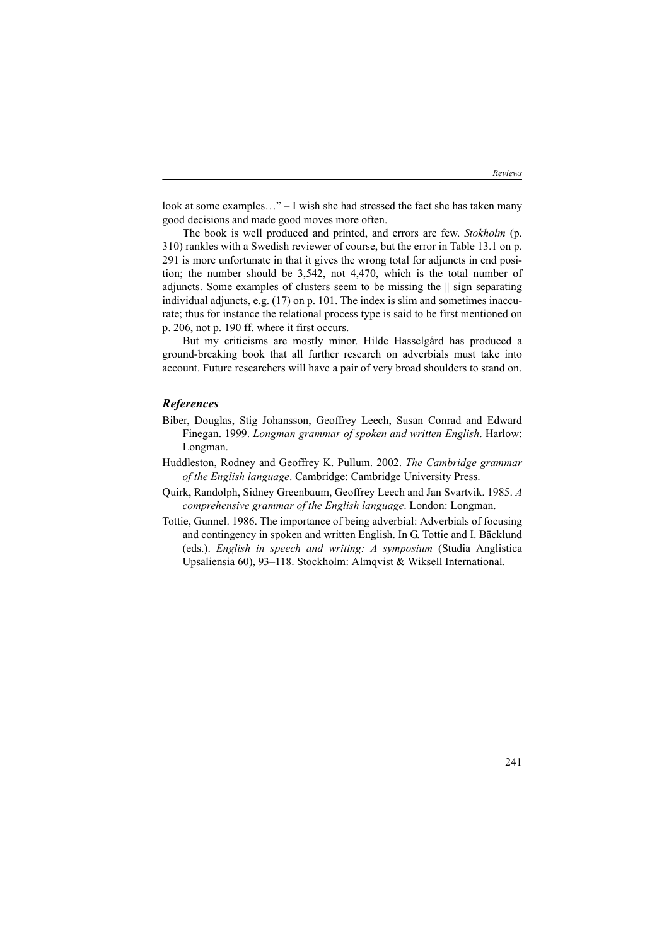look at some examples…" – I wish she had stressed the fact she has taken many good decisions and made good moves more often.

The book is well produced and printed, and errors are few. *Stokholm* (p. 310) rankles with a Swedish reviewer of course, but the error in Table 13.1 on p. 291 is more unfortunate in that it gives the wrong total for adjuncts in end position; the number should be 3,542, not 4,470, which is the total number of adjuncts. Some examples of clusters seem to be missing the || sign separating individual adjuncts, e.g. (17) on p. 101. The index is slim and sometimes inaccurate; thus for instance the relational process type is said to be first mentioned on p. 206, not p. 190 ff. where it first occurs.

But my criticisms are mostly minor. Hilde Hasselgård has produced a ground-breaking book that all further research on adverbials must take into account. Future researchers will have a pair of very broad shoulders to stand on.

### *References*

- Biber, Douglas, Stig Johansson, Geoffrey Leech, Susan Conrad and Edward Finegan. 1999. *Longman grammar of spoken and written English*. Harlow: Longman.
- Huddleston, Rodney and Geoffrey K. Pullum. 2002. *The Cambridge grammar of the English language*. Cambridge: Cambridge University Press.
- Quirk, Randolph, Sidney Greenbaum, Geoffrey Leech and Jan Svartvik. 1985. *A comprehensive grammar of the English language*. London: Longman.
- Tottie, Gunnel. 1986. The importance of being adverbial: Adverbials of focusing and contingency in spoken and written English. In G. Tottie and I. Bäcklund (eds.). *English in speech and writing: A symposium* (Studia Anglistica Upsaliensia 60), 93–118. Stockholm: Almqvist & Wiksell International.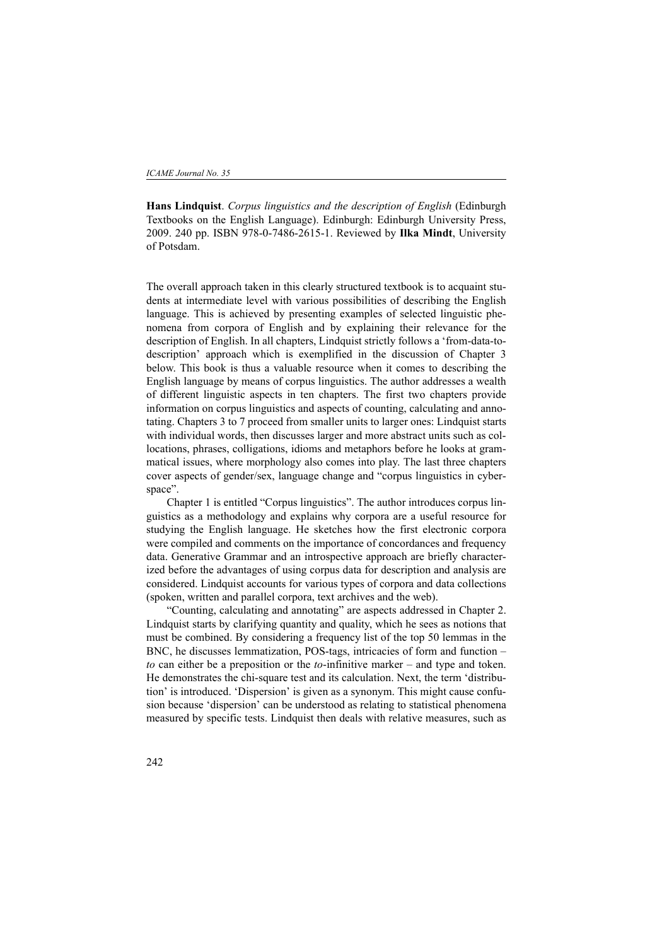**Hans Lindquist**. *Corpus linguistics and the description of English* (Edinburgh Textbooks on the English Language). Edinburgh: Edinburgh University Press, 2009. 240 pp. ISBN 978-0-7486-2615-1. Reviewed by **Ilka Mindt**, University of Potsdam.

The overall approach taken in this clearly structured textbook is to acquaint students at intermediate level with various possibilities of describing the English language. This is achieved by presenting examples of selected linguistic phenomena from corpora of English and by explaining their relevance for the description of English. In all chapters, Lindquist strictly follows a 'from-data-todescription' approach which is exemplified in the discussion of Chapter 3 below. This book is thus a valuable resource when it comes to describing the English language by means of corpus linguistics. The author addresses a wealth of different linguistic aspects in ten chapters. The first two chapters provide information on corpus linguistics and aspects of counting, calculating and annotating. Chapters 3 to 7 proceed from smaller units to larger ones: Lindquist starts with individual words, then discusses larger and more abstract units such as collocations, phrases, colligations, idioms and metaphors before he looks at grammatical issues, where morphology also comes into play. The last three chapters cover aspects of gender/sex, language change and "corpus linguistics in cyberspace".

Chapter 1 is entitled "Corpus linguistics". The author introduces corpus linguistics as a methodology and explains why corpora are a useful resource for studying the English language. He sketches how the first electronic corpora were compiled and comments on the importance of concordances and frequency data. Generative Grammar and an introspective approach are briefly characterized before the advantages of using corpus data for description and analysis are considered. Lindquist accounts for various types of corpora and data collections (spoken, written and parallel corpora, text archives and the web).

"Counting, calculating and annotating" are aspects addressed in Chapter 2. Lindquist starts by clarifying quantity and quality, which he sees as notions that must be combined. By considering a frequency list of the top 50 lemmas in the BNC, he discusses lemmatization, POS-tags, intricacies of form and function – *to* can either be a preposition or the *to*-infinitive marker – and type and token. He demonstrates the chi-square test and its calculation. Next, the term 'distribution' is introduced. 'Dispersion' is given as a synonym. This might cause confusion because 'dispersion' can be understood as relating to statistical phenomena measured by specific tests. Lindquist then deals with relative measures, such as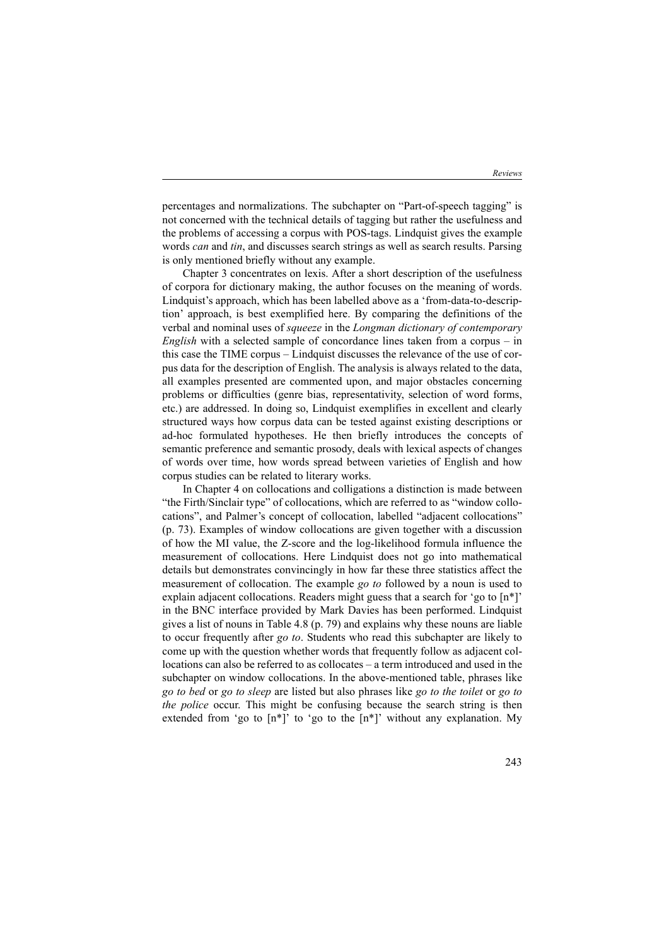percentages and normalizations. The subchapter on "Part-of-speech tagging" is not concerned with the technical details of tagging but rather the usefulness and the problems of accessing a corpus with POS-tags. Lindquist gives the example words *can* and *tin*, and discusses search strings as well as search results. Parsing is only mentioned briefly without any example.

Chapter 3 concentrates on lexis. After a short description of the usefulness of corpora for dictionary making, the author focuses on the meaning of words. Lindquist's approach, which has been labelled above as a 'from-data-to-description' approach, is best exemplified here. By comparing the definitions of the verbal and nominal uses of *squeeze* in the *Longman dictionary of contemporary English* with a selected sample of concordance lines taken from a corpus – in this case the TIME corpus – Lindquist discusses the relevance of the use of corpus data for the description of English. The analysis is always related to the data, all examples presented are commented upon, and major obstacles concerning problems or difficulties (genre bias, representativity, selection of word forms, etc.) are addressed. In doing so, Lindquist exemplifies in excellent and clearly structured ways how corpus data can be tested against existing descriptions or ad-hoc formulated hypotheses. He then briefly introduces the concepts of semantic preference and semantic prosody, deals with lexical aspects of changes of words over time, how words spread between varieties of English and how corpus studies can be related to literary works.

In Chapter 4 on collocations and colligations a distinction is made between "the Firth/Sinclair type" of collocations, which are referred to as "window collocations", and Palmer's concept of collocation, labelled "adjacent collocations" (p. 73). Examples of window collocations are given together with a discussion of how the MI value, the Z-score and the log-likelihood formula influence the measurement of collocations. Here Lindquist does not go into mathematical details but demonstrates convincingly in how far these three statistics affect the measurement of collocation. The example *go to* followed by a noun is used to explain adjacent collocations. Readers might guess that a search for 'go to  $[n^*]$ ' in the BNC interface provided by Mark Davies has been performed. Lindquist gives a list of nouns in Table 4.8 (p. 79) and explains why these nouns are liable to occur frequently after *go to*. Students who read this subchapter are likely to come up with the question whether words that frequently follow as adjacent collocations can also be referred to as collocates – a term introduced and used in the subchapter on window collocations. In the above-mentioned table, phrases like *go to bed* or *go to sleep* are listed but also phrases like *go to the toilet* or *go to the police* occur. This might be confusing because the search string is then extended from 'go to  $[n^*]'$ ' to 'go to the  $[n^*]'$ ' without any explanation. My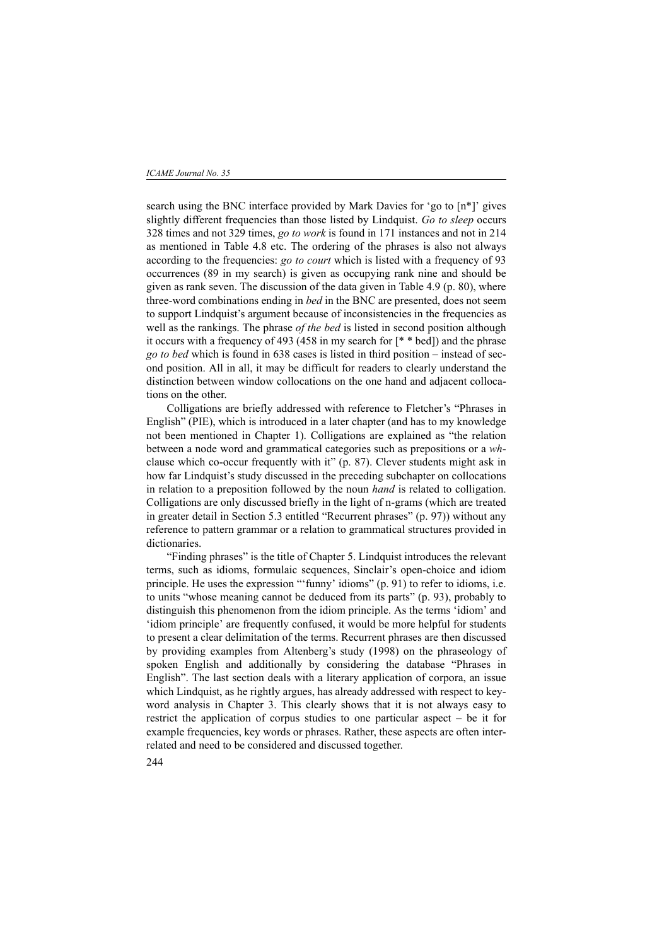search using the BNC interface provided by Mark Davies for 'go to [n\*]' gives slightly different frequencies than those listed by Lindquist. *Go to sleep* occurs 328 times and not 329 times, *go to work* is found in 171 instances and not in 214 as mentioned in Table 4.8 etc. The ordering of the phrases is also not always according to the frequencies: *go to court* which is listed with a frequency of 93 occurrences (89 in my search) is given as occupying rank nine and should be given as rank seven. The discussion of the data given in Table 4.9 (p. 80), where three-word combinations ending in *bed* in the BNC are presented, does not seem to support Lindquist's argument because of inconsistencies in the frequencies as well as the rankings. The phrase *of the bed* is listed in second position although it occurs with a frequency of 493 (458 in my search for [\* \* bed]) and the phrase *go to bed* which is found in 638 cases is listed in third position – instead of second position. All in all, it may be difficult for readers to clearly understand the distinction between window collocations on the one hand and adjacent collocations on the other.

Colligations are briefly addressed with reference to Fletcher's "Phrases in English" (PIE), which is introduced in a later chapter (and has to my knowledge not been mentioned in Chapter 1). Colligations are explained as "the relation between a node word and grammatical categories such as prepositions or a *wh*clause which co-occur frequently with it" (p. 87). Clever students might ask in how far Lindquist's study discussed in the preceding subchapter on collocations in relation to a preposition followed by the noun *hand* is related to colligation. Colligations are only discussed briefly in the light of n-grams (which are treated in greater detail in Section 5.3 entitled "Recurrent phrases" (p. 97)) without any reference to pattern grammar or a relation to grammatical structures provided in dictionaries.

"Finding phrases" is the title of Chapter 5. Lindquist introduces the relevant terms, such as idioms, formulaic sequences, Sinclair's open-choice and idiom principle. He uses the expression "'funny' idioms" (p. 91) to refer to idioms, i.e. to units "whose meaning cannot be deduced from its parts" (p. 93), probably to distinguish this phenomenon from the idiom principle. As the terms 'idiom' and 'idiom principle' are frequently confused, it would be more helpful for students to present a clear delimitation of the terms. Recurrent phrases are then discussed by providing examples from Altenberg's study (1998) on the phraseology of spoken English and additionally by considering the database "Phrases in English". The last section deals with a literary application of corpora, an issue which Lindquist, as he rightly argues, has already addressed with respect to keyword analysis in Chapter 3. This clearly shows that it is not always easy to restrict the application of corpus studies to one particular aspect – be it for example frequencies, key words or phrases. Rather, these aspects are often interrelated and need to be considered and discussed together.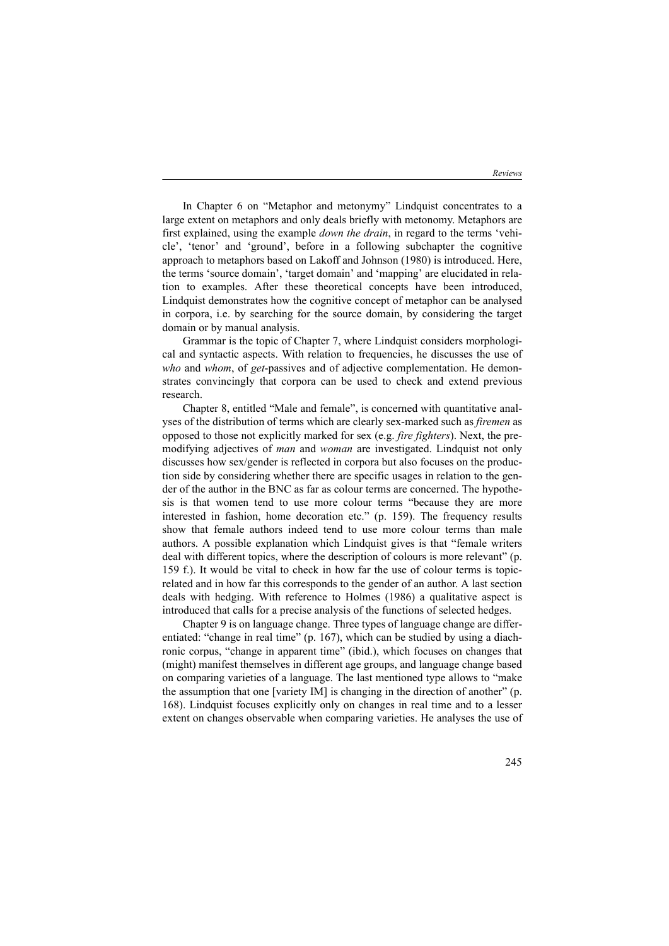*Reviews*

In Chapter 6 on "Metaphor and metonymy" Lindquist concentrates to a large extent on metaphors and only deals briefly with metonomy. Metaphors are first explained, using the example *down the drain*, in regard to the terms 'vehicle', 'tenor' and 'ground', before in a following subchapter the cognitive approach to metaphors based on Lakoff and Johnson (1980) is introduced. Here, the terms 'source domain', 'target domain' and 'mapping' are elucidated in relation to examples. After these theoretical concepts have been introduced, Lindquist demonstrates how the cognitive concept of metaphor can be analysed in corpora, i.e. by searching for the source domain, by considering the target domain or by manual analysis.

Grammar is the topic of Chapter 7, where Lindquist considers morphological and syntactic aspects. With relation to frequencies, he discusses the use of *who* and *whom*, of *get*-passives and of adjective complementation. He demonstrates convincingly that corpora can be used to check and extend previous research.

Chapter 8, entitled "Male and female", is concerned with quantitative analyses of the distribution of terms which are clearly sex-marked such as *firemen* as opposed to those not explicitly marked for sex (e.g. *fire fighters*). Next, the premodifying adjectives of *man* and *woman* are investigated. Lindquist not only discusses how sex/gender is reflected in corpora but also focuses on the production side by considering whether there are specific usages in relation to the gender of the author in the BNC as far as colour terms are concerned. The hypothesis is that women tend to use more colour terms "because they are more interested in fashion, home decoration etc." (p. 159). The frequency results show that female authors indeed tend to use more colour terms than male authors. A possible explanation which Lindquist gives is that "female writers deal with different topics, where the description of colours is more relevant" (p. 159 f.). It would be vital to check in how far the use of colour terms is topicrelated and in how far this corresponds to the gender of an author. A last section deals with hedging. With reference to Holmes (1986) a qualitative aspect is introduced that calls for a precise analysis of the functions of selected hedges.

Chapter 9 is on language change. Three types of language change are differentiated: "change in real time" (p. 167), which can be studied by using a diachronic corpus, "change in apparent time" (ibid.), which focuses on changes that (might) manifest themselves in different age groups, and language change based on comparing varieties of a language. The last mentioned type allows to "make the assumption that one [variety IM] is changing in the direction of another" (p. 168). Lindquist focuses explicitly only on changes in real time and to a lesser extent on changes observable when comparing varieties. He analyses the use of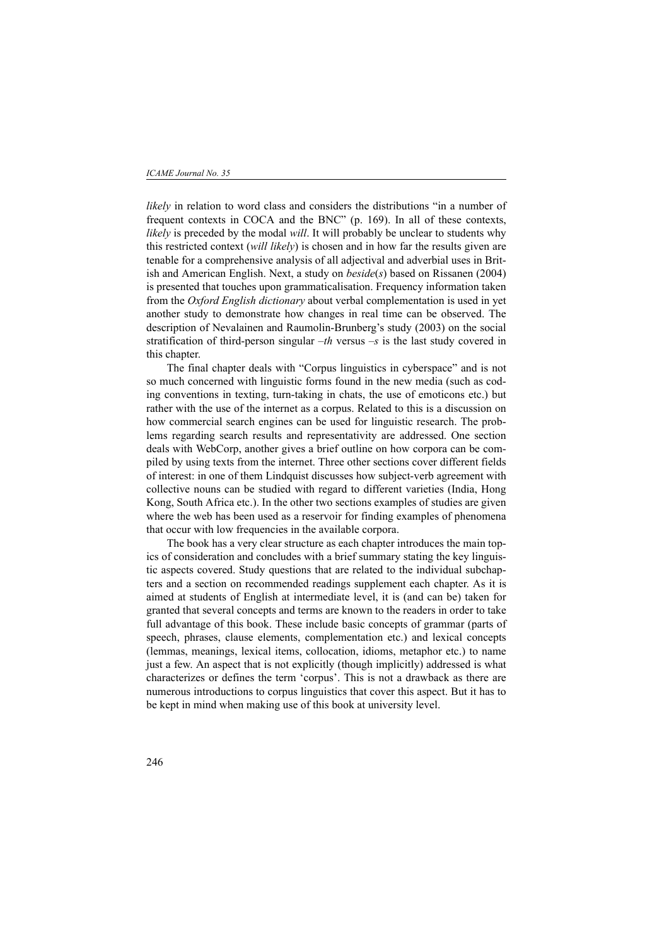#### *ICAME Journal No. 35*

*likely* in relation to word class and considers the distributions "in a number of frequent contexts in COCA and the BNC" (p. 169). In all of these contexts, *likely* is preceded by the modal *will*. It will probably be unclear to students why this restricted context (*will likely*) is chosen and in how far the results given are tenable for a comprehensive analysis of all adjectival and adverbial uses in British and American English. Next, a study on *beside*(*s*) based on Rissanen (2004) is presented that touches upon grammaticalisation. Frequency information taken from the *Oxford English dictionary* about verbal complementation is used in yet another study to demonstrate how changes in real time can be observed. The description of Nevalainen and Raumolin-Brunberg's study (2003) on the social stratification of third-person singular –*th* versus –*s* is the last study covered in this chapter.

The final chapter deals with "Corpus linguistics in cyberspace" and is not so much concerned with linguistic forms found in the new media (such as coding conventions in texting, turn-taking in chats, the use of emoticons etc.) but rather with the use of the internet as a corpus. Related to this is a discussion on how commercial search engines can be used for linguistic research. The problems regarding search results and representativity are addressed. One section deals with WebCorp, another gives a brief outline on how corpora can be compiled by using texts from the internet. Three other sections cover different fields of interest: in one of them Lindquist discusses how subject-verb agreement with collective nouns can be studied with regard to different varieties (India, Hong Kong, South Africa etc.). In the other two sections examples of studies are given where the web has been used as a reservoir for finding examples of phenomena that occur with low frequencies in the available corpora.

The book has a very clear structure as each chapter introduces the main topics of consideration and concludes with a brief summary stating the key linguistic aspects covered. Study questions that are related to the individual subchapters and a section on recommended readings supplement each chapter. As it is aimed at students of English at intermediate level, it is (and can be) taken for granted that several concepts and terms are known to the readers in order to take full advantage of this book. These include basic concepts of grammar (parts of speech, phrases, clause elements, complementation etc.) and lexical concepts (lemmas, meanings, lexical items, collocation, idioms, metaphor etc.) to name just a few. An aspect that is not explicitly (though implicitly) addressed is what characterizes or defines the term 'corpus'. This is not a drawback as there are numerous introductions to corpus linguistics that cover this aspect. But it has to be kept in mind when making use of this book at university level.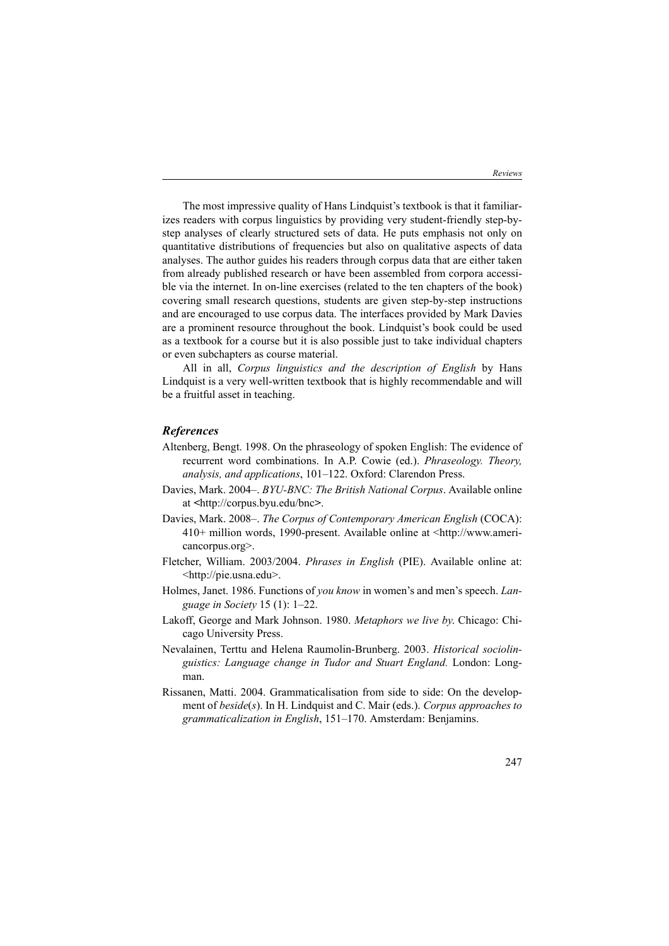The most impressive quality of Hans Lindquist's textbook is that it familiarizes readers with corpus linguistics by providing very student-friendly step-bystep analyses of clearly structured sets of data. He puts emphasis not only on quantitative distributions of frequencies but also on qualitative aspects of data analyses. The author guides his readers through corpus data that are either taken from already published research or have been assembled from corpora accessible via the internet. In on-line exercises (related to the ten chapters of the book) covering small research questions, students are given step-by-step instructions and are encouraged to use corpus data. The interfaces provided by Mark Davies are a prominent resource throughout the book. Lindquist's book could be used as a textbook for a course but it is also possible just to take individual chapters or even subchapters as course material.

All in all, *Corpus linguistics and the description of English* by Hans Lindquist is a very well-written textbook that is highly recommendable and will be a fruitful asset in teaching.

## *References*

- Altenberg, Bengt. 1998. On the phraseology of spoken English: The evidence of recurrent word combinations. In A.P. Cowie (ed.). *Phraseology. Theory, analysis, and applications*, 101–122. Oxford: Clarendon Press.
- Davies, Mark. 2004–. *BYU-BNC: The British National Corpus*. Available online at *<*http://corpus.byu.edu/bnc*>*.
- Davies, Mark. 2008–. *The Corpus of Contemporary American English* (COCA): 410+ million words, 1990-present. Available online at <http://www.americancorpus.org>.
- Fletcher, William. 2003/2004. *Phrases in English* (PIE). Available online at: <http://pie.usna.edu>.
- Holmes, Janet. 1986. Functions of *you know* in women's and men's speech. *Language in Society* 15 (1): 1–22.
- Lakoff, George and Mark Johnson. 1980. *Metaphors we live by*. Chicago: Chicago University Press.
- Nevalainen, Terttu and Helena Raumolin-Brunberg. 2003. *Historical sociolinguistics: Language change in Tudor and Stuart England.* London: Longman.
- Rissanen, Matti. 2004. Grammaticalisation from side to side: On the development of *beside*(*s*). In H. Lindquist and C. Mair (eds.). *Corpus approaches to grammaticalization in English*, 151–170. Amsterdam: Benjamins.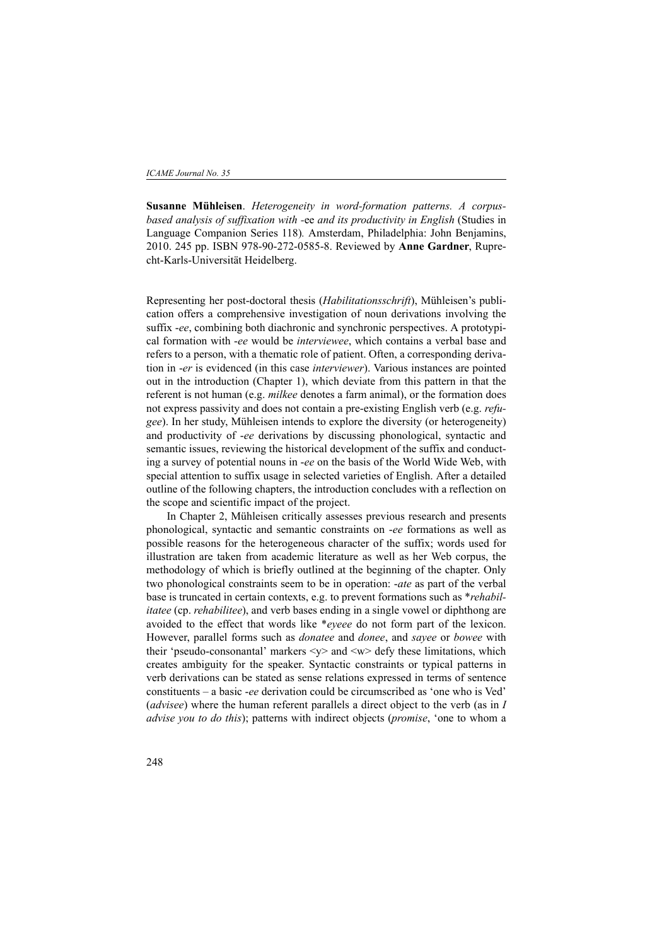**Susanne Mühleisen**. *Heterogeneity in word-formation patterns. A corpusbased analysis of suffixation with -*ee *and its productivity in English* (Studies in Language Companion Series 118)*.* Amsterdam, Philadelphia: John Benjamins, 2010. 245 pp. ISBN 978-90-272-0585-8. Reviewed by **Anne Gardner**, Ruprecht-Karls-Universität Heidelberg.

Representing her post-doctoral thesis (*Habilitationsschrift*), Mühleisen's publication offers a comprehensive investigation of noun derivations involving the suffix -*ee*, combining both diachronic and synchronic perspectives. A prototypical formation with -*ee* would be *interviewee*, which contains a verbal base and refers to a person, with a thematic role of patient. Often, a corresponding derivation in -*er* is evidenced (in this case *interviewer*). Various instances are pointed out in the introduction (Chapter 1), which deviate from this pattern in that the referent is not human (e.g. *milkee* denotes a farm animal), or the formation does not express passivity and does not contain a pre-existing English verb (e.g. *refugee*). In her study, Mühleisen intends to explore the diversity (or heterogeneity) and productivity of -*ee* derivations by discussing phonological, syntactic and semantic issues, reviewing the historical development of the suffix and conducting a survey of potential nouns in -*ee* on the basis of the World Wide Web, with special attention to suffix usage in selected varieties of English. After a detailed outline of the following chapters, the introduction concludes with a reflection on the scope and scientific impact of the project.

In Chapter 2, Mühleisen critically assesses previous research and presents phonological, syntactic and semantic constraints on -*ee* formations as well as possible reasons for the heterogeneous character of the suffix; words used for illustration are taken from academic literature as well as her Web corpus, the methodology of which is briefly outlined at the beginning of the chapter. Only two phonological constraints seem to be in operation: -*ate* as part of the verbal base is truncated in certain contexts, e.g. to prevent formations such as \**rehabilitatee* (cp. *rehabilitee*), and verb bases ending in a single vowel or diphthong are avoided to the effect that words like \**eyeee* do not form part of the lexicon. However, parallel forms such as *donatee* and *donee*, and *sayee* or *bowee* with their 'pseudo-consonantal' markers <y> and <w> defy these limitations, which creates ambiguity for the speaker. Syntactic constraints or typical patterns in verb derivations can be stated as sense relations expressed in terms of sentence constituents – a basic -*ee* derivation could be circumscribed as 'one who is Ved' (*advisee*) where the human referent parallels a direct object to the verb (as in *I advise you to do this*); patterns with indirect objects (*promise*, 'one to whom a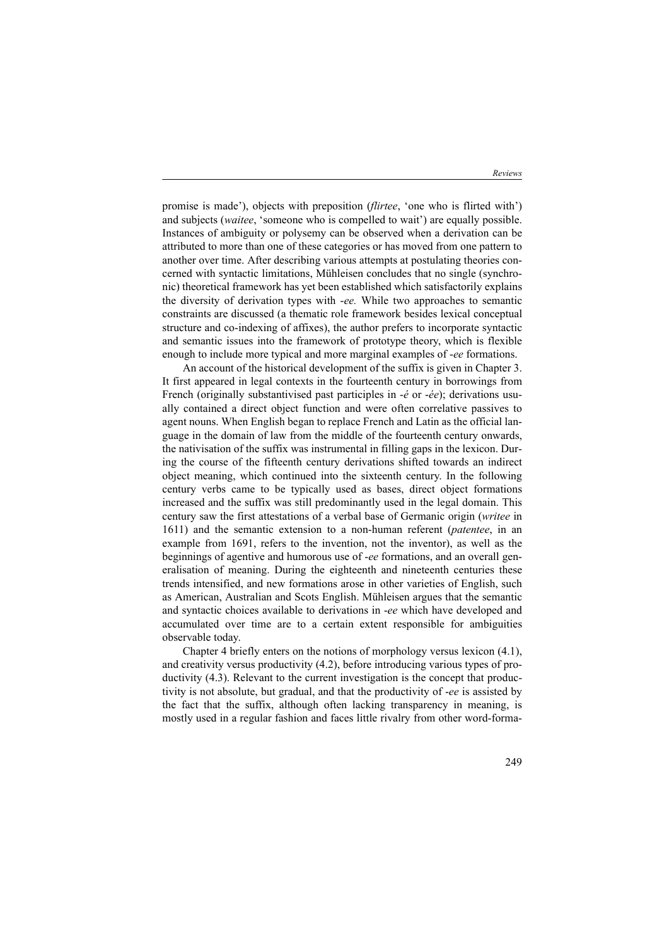promise is made'), objects with preposition (*flirtee*, 'one who is flirted with') and subjects (*waitee*, 'someone who is compelled to wait') are equally possible. Instances of ambiguity or polysemy can be observed when a derivation can be attributed to more than one of these categories or has moved from one pattern to another over time. After describing various attempts at postulating theories concerned with syntactic limitations, Mühleisen concludes that no single (synchronic) theoretical framework has yet been established which satisfactorily explains the diversity of derivation types with -*ee.* While two approaches to semantic constraints are discussed (a thematic role framework besides lexical conceptual structure and co-indexing of affixes), the author prefers to incorporate syntactic and semantic issues into the framework of prototype theory, which is flexible enough to include more typical and more marginal examples of -*ee* formations.

An account of the historical development of the suffix is given in Chapter 3. It first appeared in legal contexts in the fourteenth century in borrowings from French (originally substantivised past participles in -*é* or -*ée*); derivations usually contained a direct object function and were often correlative passives to agent nouns. When English began to replace French and Latin as the official language in the domain of law from the middle of the fourteenth century onwards, the nativisation of the suffix was instrumental in filling gaps in the lexicon. During the course of the fifteenth century derivations shifted towards an indirect object meaning, which continued into the sixteenth century. In the following century verbs came to be typically used as bases, direct object formations increased and the suffix was still predominantly used in the legal domain. This century saw the first attestations of a verbal base of Germanic origin (*writee* in 1611) and the semantic extension to a non-human referent (*patentee*, in an example from 1691, refers to the invention, not the inventor), as well as the beginnings of agentive and humorous use of -*ee* formations, and an overall generalisation of meaning. During the eighteenth and nineteenth centuries these trends intensified, and new formations arose in other varieties of English, such as American, Australian and Scots English. Mühleisen argues that the semantic and syntactic choices available to derivations in -*ee* which have developed and accumulated over time are to a certain extent responsible for ambiguities observable today.

Chapter 4 briefly enters on the notions of morphology versus lexicon (4.1), and creativity versus productivity (4.2), before introducing various types of productivity (4.3). Relevant to the current investigation is the concept that productivity is not absolute, but gradual, and that the productivity of -*ee* is assisted by the fact that the suffix, although often lacking transparency in meaning, is mostly used in a regular fashion and faces little rivalry from other word-forma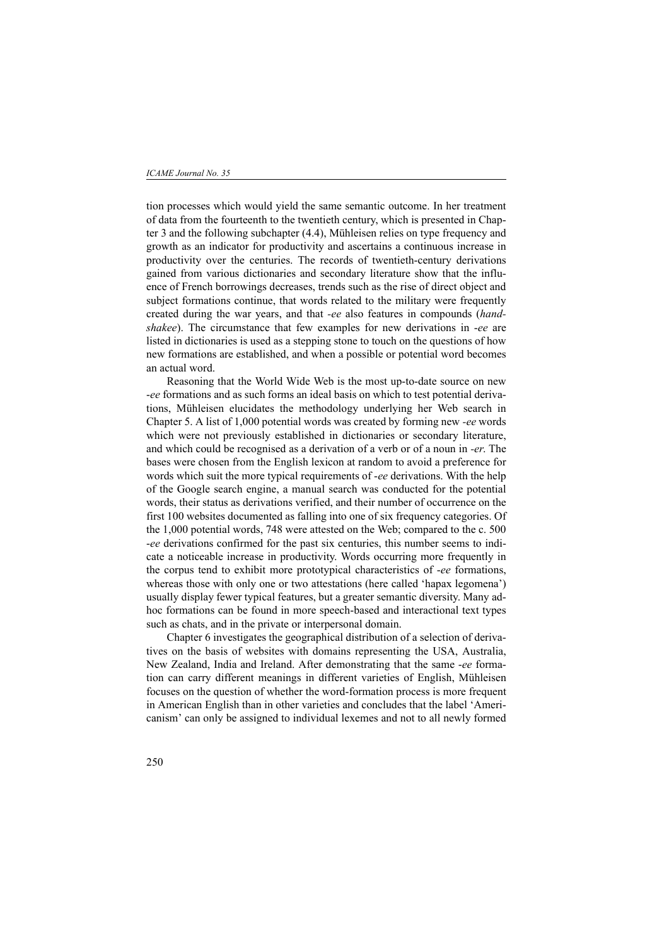tion processes which would yield the same semantic outcome. In her treatment of data from the fourteenth to the twentieth century, which is presented in Chapter 3 and the following subchapter (4.4), Mühleisen relies on type frequency and growth as an indicator for productivity and ascertains a continuous increase in productivity over the centuries. The records of twentieth-century derivations gained from various dictionaries and secondary literature show that the influence of French borrowings decreases, trends such as the rise of direct object and subject formations continue, that words related to the military were frequently created during the war years, and that *-ee* also features in compounds (*handshakee*). The circumstance that few examples for new derivations in -*ee* are listed in dictionaries is used as a stepping stone to touch on the questions of how new formations are established, and when a possible or potential word becomes an actual word.

Reasoning that the World Wide Web is the most up-to-date source on new -*ee* formations and as such forms an ideal basis on which to test potential derivations, Mühleisen elucidates the methodology underlying her Web search in Chapter 5. A list of 1,000 potential words was created by forming new *-ee* words which were not previously established in dictionaries or secondary literature, and which could be recognised as a derivation of a verb or of a noun in *-er*. The bases were chosen from the English lexicon at random to avoid a preference for words which suit the more typical requirements of -*ee* derivations. With the help of the Google search engine, a manual search was conducted for the potential words, their status as derivations verified, and their number of occurrence on the first 100 websites documented as falling into one of six frequency categories. Of the 1,000 potential words, 748 were attested on the Web; compared to the c. 500 -*ee* derivations confirmed for the past six centuries, this number seems to indicate a noticeable increase in productivity. Words occurring more frequently in the corpus tend to exhibit more prototypical characteristics of -*ee* formations, whereas those with only one or two attestations (here called 'hapax legomena') usually display fewer typical features, but a greater semantic diversity. Many adhoc formations can be found in more speech-based and interactional text types such as chats, and in the private or interpersonal domain.

Chapter 6 investigates the geographical distribution of a selection of derivatives on the basis of websites with domains representing the USA, Australia, New Zealand, India and Ireland. After demonstrating that the same -*ee* formation can carry different meanings in different varieties of English, Mühleisen focuses on the question of whether the word-formation process is more frequent in American English than in other varieties and concludes that the label 'Americanism' can only be assigned to individual lexemes and not to all newly formed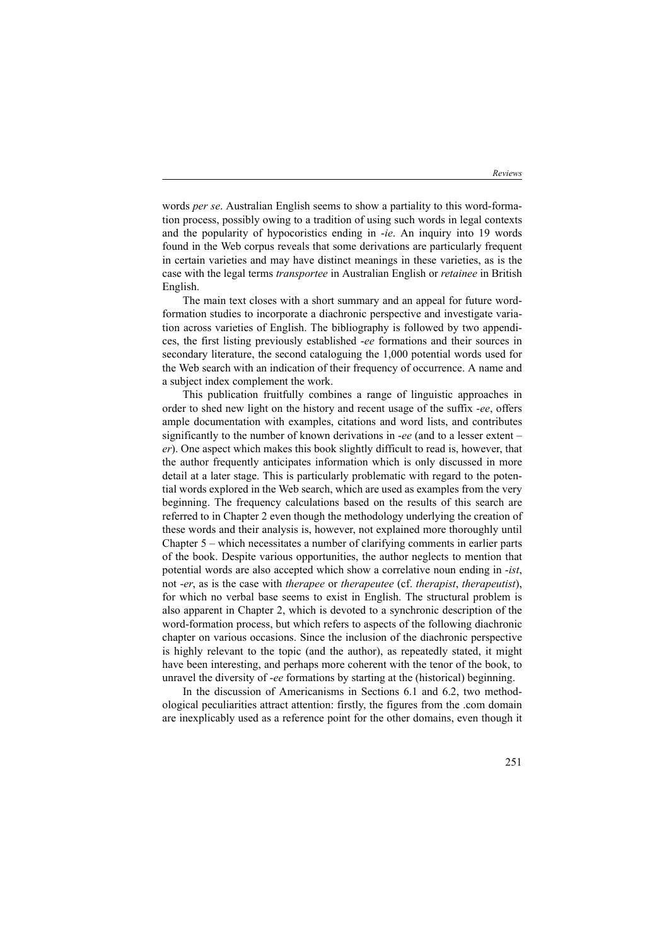words *per se*. Australian English seems to show a partiality to this word-formation process, possibly owing to a tradition of using such words in legal contexts and the popularity of hypocoristics ending in -*ie*. An inquiry into 19 words found in the Web corpus reveals that some derivations are particularly frequent in certain varieties and may have distinct meanings in these varieties, as is the case with the legal terms *transportee* in Australian English or *retainee* in British English.

The main text closes with a short summary and an appeal for future wordformation studies to incorporate a diachronic perspective and investigate variation across varieties of English. The bibliography is followed by two appendices, the first listing previously established -*ee* formations and their sources in secondary literature, the second cataloguing the 1,000 potential words used for the Web search with an indication of their frequency of occurrence. A name and a subject index complement the work.

This publication fruitfully combines a range of linguistic approaches in order to shed new light on the history and recent usage of the suffix -*ee*, offers ample documentation with examples, citations and word lists, and contributes significantly to the number of known derivations in -*ee* (and to a lesser extent – *er*). One aspect which makes this book slightly difficult to read is, however, that the author frequently anticipates information which is only discussed in more detail at a later stage. This is particularly problematic with regard to the potential words explored in the Web search, which are used as examples from the very beginning. The frequency calculations based on the results of this search are referred to in Chapter 2 even though the methodology underlying the creation of these words and their analysis is, however, not explained more thoroughly until Chapter 5 – which necessitates a number of clarifying comments in earlier parts of the book. Despite various opportunities, the author neglects to mention that potential words are also accepted which show a correlative noun ending in -*ist*, not -*er*, as is the case with *therapee* or *therapeutee* (cf. *therapist*, *therapeutist*), for which no verbal base seems to exist in English. The structural problem is also apparent in Chapter 2, which is devoted to a synchronic description of the word-formation process, but which refers to aspects of the following diachronic chapter on various occasions. Since the inclusion of the diachronic perspective is highly relevant to the topic (and the author), as repeatedly stated, it might have been interesting, and perhaps more coherent with the tenor of the book, to unravel the diversity of -*ee* formations by starting at the (historical) beginning.

In the discussion of Americanisms in Sections 6.1 and 6.2, two methodological peculiarities attract attention: firstly, the figures from the .com domain are inexplicably used as a reference point for the other domains, even though it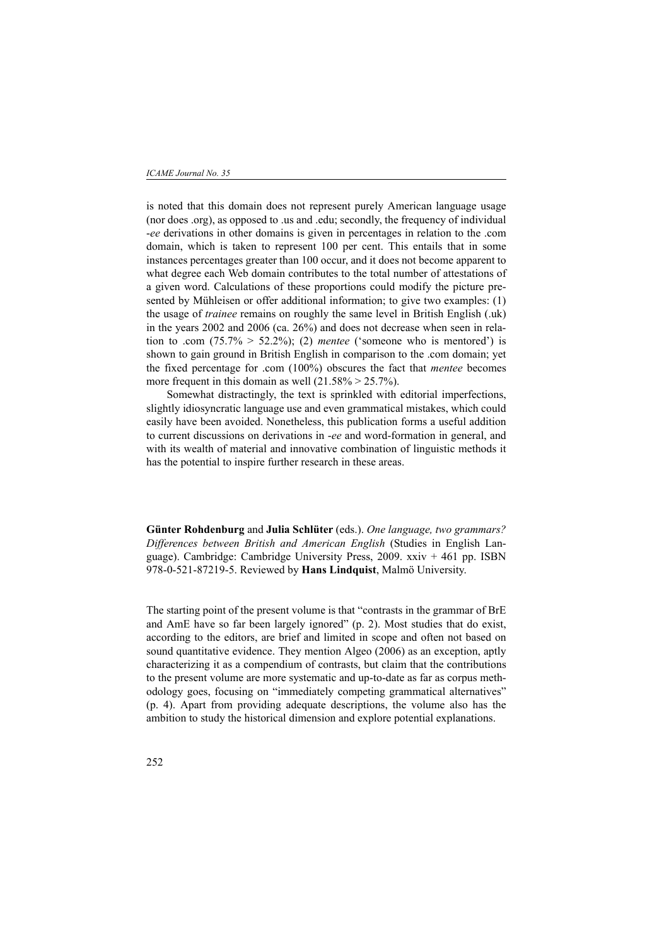is noted that this domain does not represent purely American language usage (nor does .org), as opposed to .us and .edu; secondly, the frequency of individual -*ee* derivations in other domains is given in percentages in relation to the .com domain, which is taken to represent 100 per cent. This entails that in some instances percentages greater than 100 occur, and it does not become apparent to what degree each Web domain contributes to the total number of attestations of a given word. Calculations of these proportions could modify the picture presented by Mühleisen or offer additional information; to give two examples: (1) the usage of *trainee* remains on roughly the same level in British English (.uk) in the years 2002 and 2006 (ca. 26%) and does not decrease when seen in relation to .com  $(75.7\% > 52.2\%);$  (2) *mentee* ('someone who is mentored') is shown to gain ground in British English in comparison to the .com domain; yet the fixed percentage for .com (100%) obscures the fact that *mentee* becomes more frequent in this domain as well  $(21.58\% > 25.7\%)$ .

Somewhat distractingly, the text is sprinkled with editorial imperfections, slightly idiosyncratic language use and even grammatical mistakes, which could easily have been avoided. Nonetheless, this publication forms a useful addition to current discussions on derivations in -*ee* and word-formation in general, and with its wealth of material and innovative combination of linguistic methods it has the potential to inspire further research in these areas.

**Günter Rohdenburg** and **Julia Schlüter** (eds.). *One language, two grammars? Differences between British and American English* (Studies in English Language). Cambridge: Cambridge University Press, 2009. xxiv + 461 pp. ISBN 978-0-521-87219-5. Reviewed by **Hans Lindquist**, Malmö University.

The starting point of the present volume is that "contrasts in the grammar of BrE and AmE have so far been largely ignored" (p. 2). Most studies that do exist, according to the editors, are brief and limited in scope and often not based on sound quantitative evidence. They mention Algeo (2006) as an exception, aptly characterizing it as a compendium of contrasts, but claim that the contributions to the present volume are more systematic and up-to-date as far as corpus methodology goes, focusing on "immediately competing grammatical alternatives" (p. 4). Apart from providing adequate descriptions, the volume also has the ambition to study the historical dimension and explore potential explanations.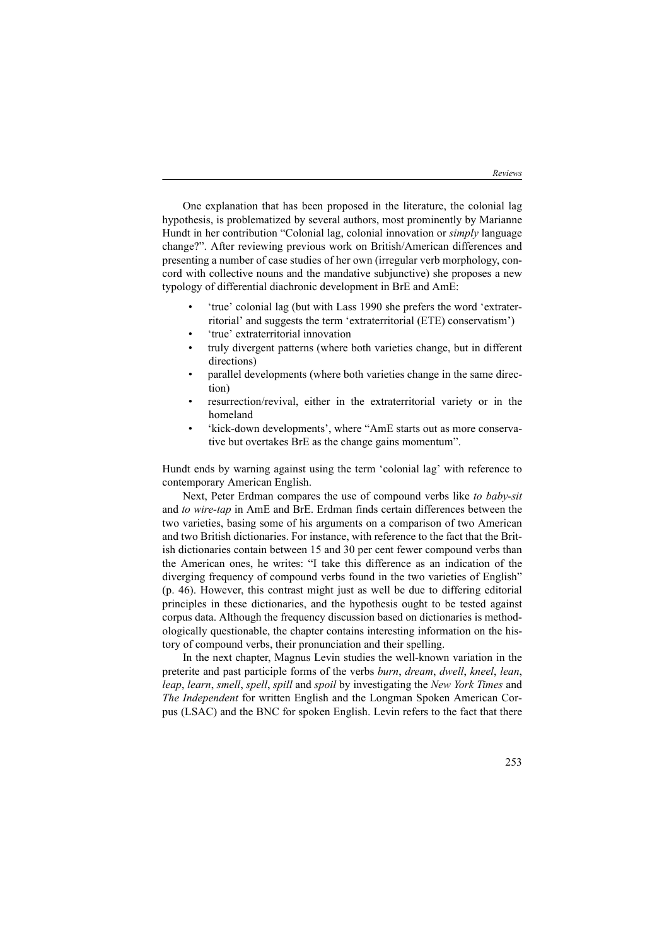One explanation that has been proposed in the literature, the colonial lag hypothesis, is problematized by several authors, most prominently by Marianne Hundt in her contribution "Colonial lag, colonial innovation or *simply* language change?". After reviewing previous work on British/American differences and presenting a number of case studies of her own (irregular verb morphology, concord with collective nouns and the mandative subjunctive) she proposes a new typology of differential diachronic development in BrE and AmE:

- 'true' colonial lag (but with Lass 1990 she prefers the word 'extraterritorial' and suggests the term 'extraterritorial (ETE) conservatism')
- 'true' extraterritorial innovation
- truly divergent patterns (where both varieties change, but in different directions)
- parallel developments (where both varieties change in the same direction)
- resurrection/revival, either in the extraterritorial variety or in the homeland
- 'kick-down developments', where "AmE starts out as more conservative but overtakes BrE as the change gains momentum".

Hundt ends by warning against using the term 'colonial lag' with reference to contemporary American English.

Next, Peter Erdman compares the use of compound verbs like *to baby-sit* and *to wire-tap* in AmE and BrE. Erdman finds certain differences between the two varieties, basing some of his arguments on a comparison of two American and two British dictionaries. For instance, with reference to the fact that the British dictionaries contain between 15 and 30 per cent fewer compound verbs than the American ones, he writes: "I take this difference as an indication of the diverging frequency of compound verbs found in the two varieties of English" (p. 46). However, this contrast might just as well be due to differing editorial principles in these dictionaries, and the hypothesis ought to be tested against corpus data. Although the frequency discussion based on dictionaries is methodologically questionable, the chapter contains interesting information on the history of compound verbs, their pronunciation and their spelling.

In the next chapter, Magnus Levin studies the well-known variation in the preterite and past participle forms of the verbs *burn*, *dream*, *dwell*, *kneel*, *lean*, *leap*, *learn*, *smell*, *spell*, *spill* and *spoil* by investigating the *New York Times* and *The Independent* for written English and the Longman Spoken American Corpus (LSAC) and the BNC for spoken English. Levin refers to the fact that there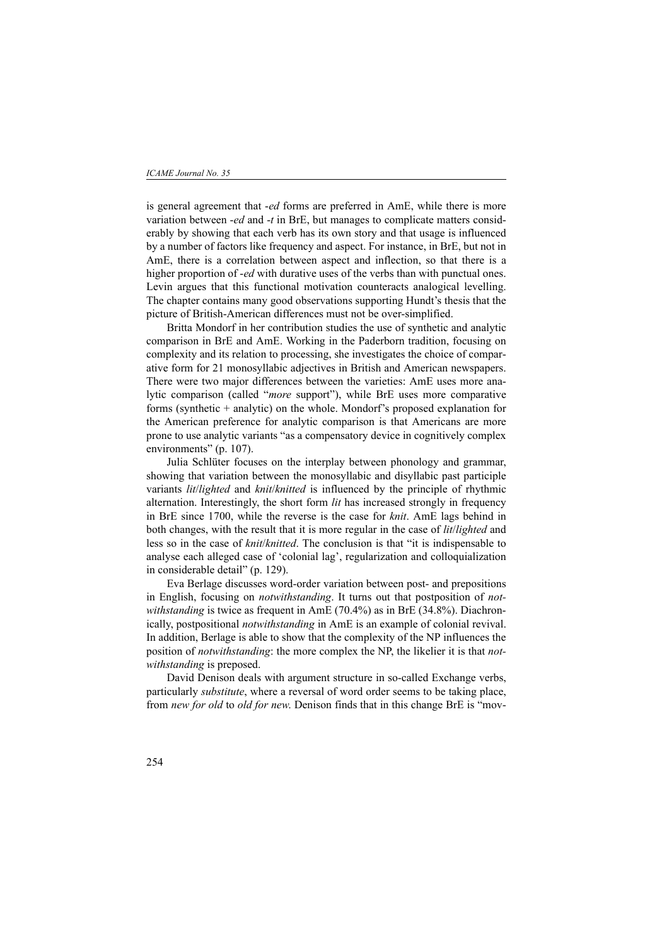is general agreement that -*ed* forms are preferred in AmE, while there is more variation between -*ed* and -*t* in BrE, but manages to complicate matters considerably by showing that each verb has its own story and that usage is influenced by a number of factors like frequency and aspect. For instance, in BrE, but not in AmE, there is a correlation between aspect and inflection, so that there is a higher proportion of -*ed* with durative uses of the verbs than with punctual ones. Levin argues that this functional motivation counteracts analogical levelling. The chapter contains many good observations supporting Hundt's thesis that the picture of British-American differences must not be over-simplified.

Britta Mondorf in her contribution studies the use of synthetic and analytic comparison in BrE and AmE. Working in the Paderborn tradition, focusing on complexity and its relation to processing, she investigates the choice of comparative form for 21 monosyllabic adjectives in British and American newspapers. There were two major differences between the varieties: AmE uses more analytic comparison (called "*more* support"), while BrE uses more comparative forms (synthetic + analytic) on the whole. Mondorf's proposed explanation for the American preference for analytic comparison is that Americans are more prone to use analytic variants "as a compensatory device in cognitively complex environments" (p. 107).

Julia Schlüter focuses on the interplay between phonology and grammar, showing that variation between the monosyllabic and disyllabic past participle variants *lit*/*lighted* and *knit*/*knitted* is influenced by the principle of rhythmic alternation. Interestingly, the short form *lit* has increased strongly in frequency in BrE since 1700, while the reverse is the case for *knit*. AmE lags behind in both changes, with the result that it is more regular in the case of *lit*/*lighted* and less so in the case of *knit*/*knitted*. The conclusion is that "it is indispensable to analyse each alleged case of 'colonial lag', regularization and colloquialization in considerable detail" (p. 129).

Eva Berlage discusses word-order variation between post- and prepositions in English, focusing on *notwithstanding*. It turns out that postposition of *notwithstanding* is twice as frequent in AmE (70.4%) as in BrE (34.8%). Diachronically, postpositional *notwithstanding* in AmE is an example of colonial revival. In addition, Berlage is able to show that the complexity of the NP influences the position of *notwithstanding*: the more complex the NP, the likelier it is that *notwithstanding* is preposed.

David Denison deals with argument structure in so-called Exchange verbs, particularly *substitute*, where a reversal of word order seems to be taking place, from *new for old* to *old for new*. Denison finds that in this change BrE is "mov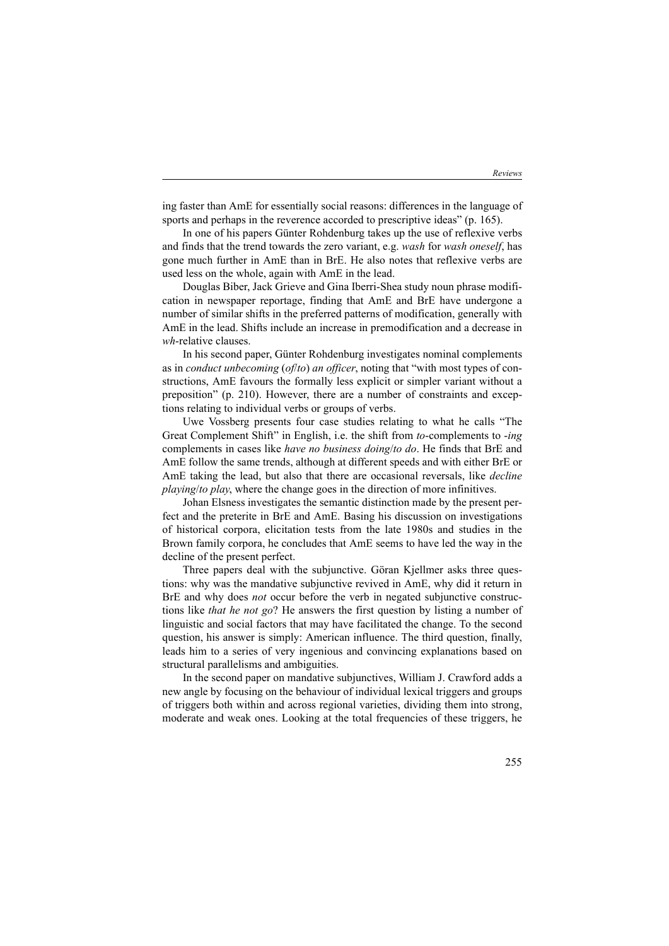ing faster than AmE for essentially social reasons: differences in the language of sports and perhaps in the reverence accorded to prescriptive ideas" (p. 165).

In one of his papers Günter Rohdenburg takes up the use of reflexive verbs and finds that the trend towards the zero variant, e.g. *wash* for *wash oneself*, has gone much further in AmE than in BrE. He also notes that reflexive verbs are used less on the whole, again with AmE in the lead.

Douglas Biber, Jack Grieve and Gina Iberri-Shea study noun phrase modification in newspaper reportage, finding that AmE and BrE have undergone a number of similar shifts in the preferred patterns of modification, generally with AmE in the lead. Shifts include an increase in premodification and a decrease in *wh*-relative clauses.

In his second paper, Günter Rohdenburg investigates nominal complements as in *conduct unbecoming* (*of*/*to*) *an officer*, noting that "with most types of constructions, AmE favours the formally less explicit or simpler variant without a preposition" (p. 210). However, there are a number of constraints and exceptions relating to individual verbs or groups of verbs.

Uwe Vossberg presents four case studies relating to what he calls "The Great Complement Shift" in English, i.e. the shift from *to*-complements to -*ing* complements in cases like *have no business doing*/*to do*. He finds that BrE and AmE follow the same trends, although at different speeds and with either BrE or AmE taking the lead, but also that there are occasional reversals, like *decline playing*/*to play*, where the change goes in the direction of more infinitives.

Johan Elsness investigates the semantic distinction made by the present perfect and the preterite in BrE and AmE. Basing his discussion on investigations of historical corpora, elicitation tests from the late 1980s and studies in the Brown family corpora, he concludes that AmE seems to have led the way in the decline of the present perfect.

Three papers deal with the subjunctive. Göran Kjellmer asks three questions: why was the mandative subjunctive revived in AmE, why did it return in BrE and why does *not* occur before the verb in negated subjunctive constructions like *that he not go*? He answers the first question by listing a number of linguistic and social factors that may have facilitated the change. To the second question, his answer is simply: American influence. The third question, finally, leads him to a series of very ingenious and convincing explanations based on structural parallelisms and ambiguities.

In the second paper on mandative subjunctives, William J. Crawford adds a new angle by focusing on the behaviour of individual lexical triggers and groups of triggers both within and across regional varieties, dividing them into strong, moderate and weak ones. Looking at the total frequencies of these triggers, he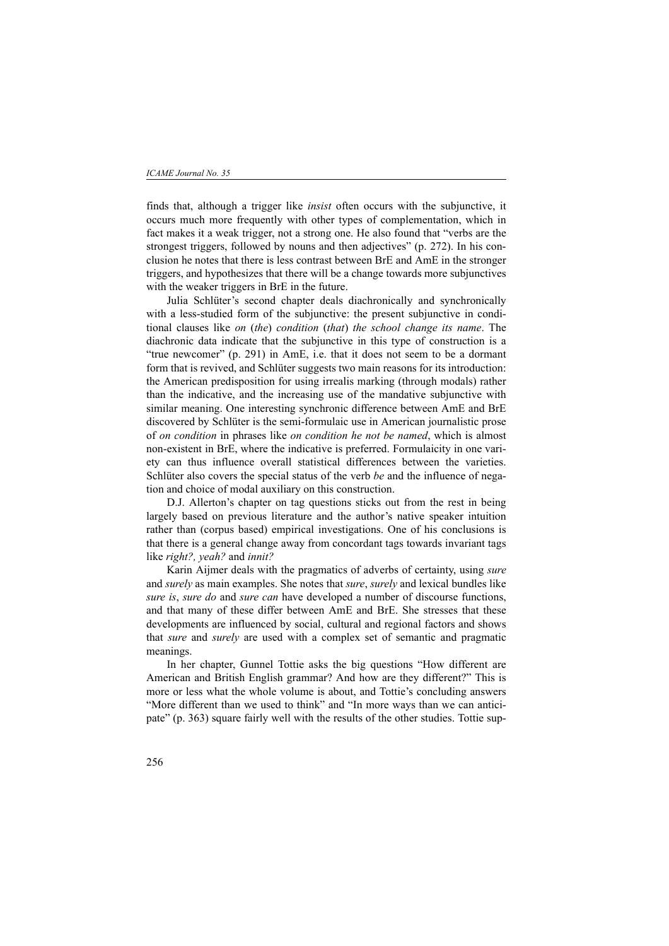finds that, although a trigger like *insist* often occurs with the subjunctive, it occurs much more frequently with other types of complementation, which in fact makes it a weak trigger, not a strong one. He also found that "verbs are the strongest triggers, followed by nouns and then adjectives" (p. 272). In his conclusion he notes that there is less contrast between BrE and AmE in the stronger triggers, and hypothesizes that there will be a change towards more subjunctives with the weaker triggers in BrE in the future.

Julia Schlüter's second chapter deals diachronically and synchronically with a less-studied form of the subjunctive: the present subjunctive in conditional clauses like *on* (*the*) *condition* (*that*) *the school change its name*. The diachronic data indicate that the subjunctive in this type of construction is a "true newcomer" (p. 291) in AmE, i.e. that it does not seem to be a dormant form that is revived, and Schlüter suggests two main reasons for its introduction: the American predisposition for using irrealis marking (through modals) rather than the indicative, and the increasing use of the mandative subjunctive with similar meaning. One interesting synchronic difference between AmE and BrE discovered by Schlüter is the semi-formulaic use in American journalistic prose of *on condition* in phrases like *on condition he not be named*, which is almost non-existent in BrE, where the indicative is preferred. Formulaicity in one variety can thus influence overall statistical differences between the varieties. Schlüter also covers the special status of the verb *be* and the influence of negation and choice of modal auxiliary on this construction.

D.J. Allerton's chapter on tag questions sticks out from the rest in being largely based on previous literature and the author's native speaker intuition rather than (corpus based) empirical investigations. One of his conclusions is that there is a general change away from concordant tags towards invariant tags like *right?, yeah?* and *innit?*

Karin Aijmer deals with the pragmatics of adverbs of certainty, using *sure* and *surely* as main examples. She notes that *sure*, *surely* and lexical bundles like *sure is*, *sure do* and *sure can* have developed a number of discourse functions, and that many of these differ between AmE and BrE. She stresses that these developments are influenced by social, cultural and regional factors and shows that *sure* and *surely* are used with a complex set of semantic and pragmatic meanings.

In her chapter, Gunnel Tottie asks the big questions "How different are American and British English grammar? And how are they different?" This is more or less what the whole volume is about, and Tottie's concluding answers "More different than we used to think" and "In more ways than we can anticipate" (p. 363) square fairly well with the results of the other studies. Tottie sup-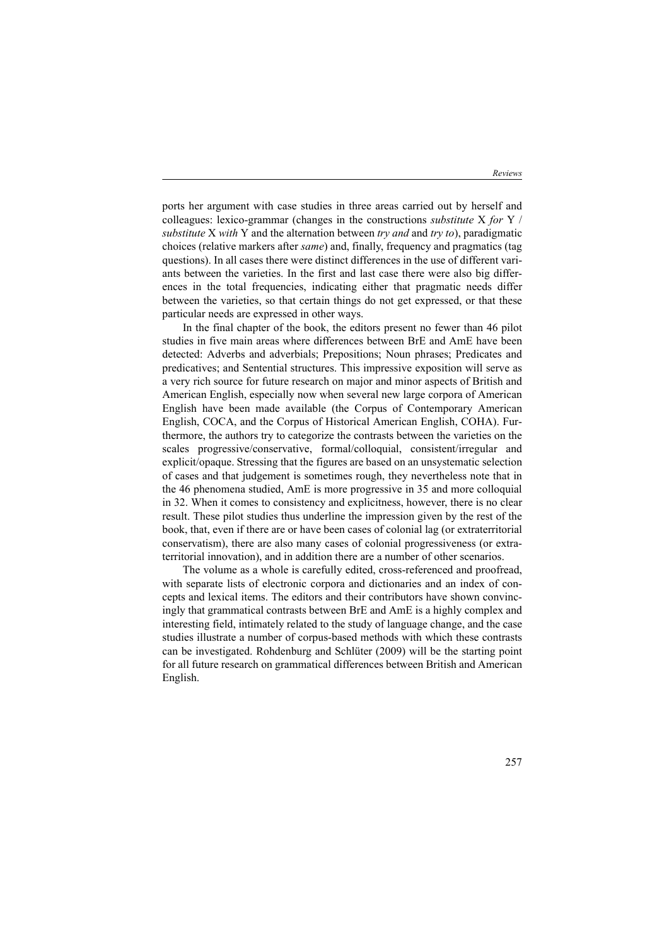ports her argument with case studies in three areas carried out by herself and colleagues: lexico-grammar (changes in the constructions *substitute* X *for* Y / *substitute* X *with* Y and the alternation between *try and* and *try to*), paradigmatic choices (relative markers after *same*) and, finally, frequency and pragmatics (tag questions). In all cases there were distinct differences in the use of different variants between the varieties. In the first and last case there were also big differences in the total frequencies, indicating either that pragmatic needs differ between the varieties, so that certain things do not get expressed, or that these particular needs are expressed in other ways.

In the final chapter of the book, the editors present no fewer than 46 pilot studies in five main areas where differences between BrE and AmE have been detected: Adverbs and adverbials; Prepositions; Noun phrases; Predicates and predicatives; and Sentential structures. This impressive exposition will serve as a very rich source for future research on major and minor aspects of British and American English, especially now when several new large corpora of American English have been made available (the Corpus of Contemporary American English, COCA, and the Corpus of Historical American English, COHA). Furthermore, the authors try to categorize the contrasts between the varieties on the scales progressive/conservative, formal/colloquial, consistent/irregular and explicit/opaque. Stressing that the figures are based on an unsystematic selection of cases and that judgement is sometimes rough, they nevertheless note that in the 46 phenomena studied, AmE is more progressive in 35 and more colloquial in 32. When it comes to consistency and explicitness, however, there is no clear result. These pilot studies thus underline the impression given by the rest of the book, that, even if there are or have been cases of colonial lag (or extraterritorial conservatism), there are also many cases of colonial progressiveness (or extraterritorial innovation), and in addition there are a number of other scenarios.

The volume as a whole is carefully edited, cross-referenced and proofread, with separate lists of electronic corpora and dictionaries and an index of concepts and lexical items. The editors and their contributors have shown convincingly that grammatical contrasts between BrE and AmE is a highly complex and interesting field, intimately related to the study of language change, and the case studies illustrate a number of corpus-based methods with which these contrasts can be investigated. Rohdenburg and Schlüter (2009) will be the starting point for all future research on grammatical differences between British and American English.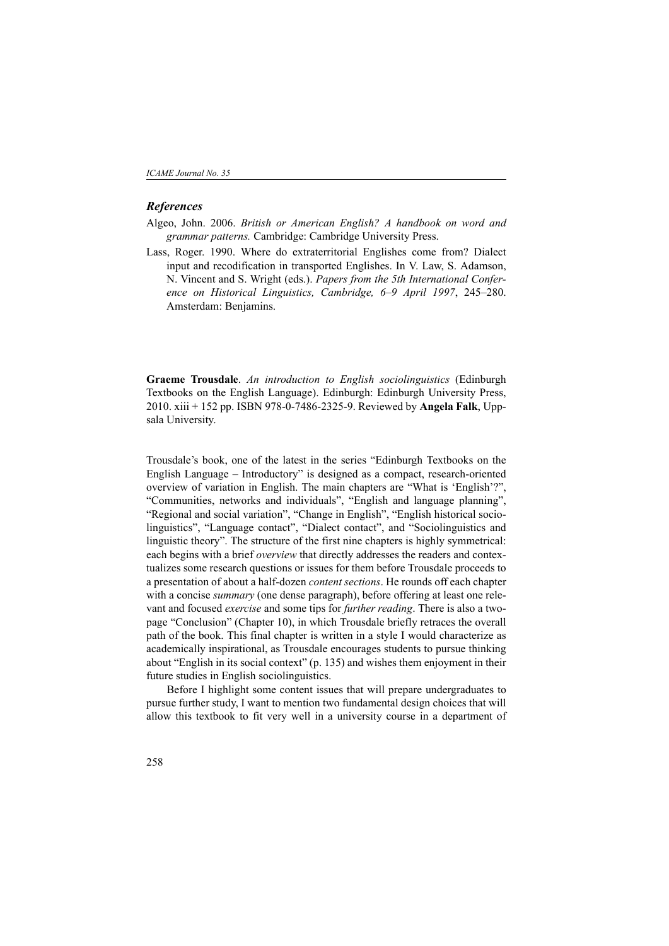#### *References*

- Algeo, John. 2006. *British or American English? A handbook on word and grammar patterns.* Cambridge: Cambridge University Press.
- Lass, Roger. 1990. Where do extraterritorial Englishes come from? Dialect input and recodification in transported Englishes. In V. Law, S. Adamson, N. Vincent and S. Wright (eds.). *Papers from the 5th International Conference on Historical Linguistics, Cambridge, 6–9 April 1997*, 245–280. Amsterdam: Benjamins.

**Graeme Trousdale**. *An introduction to English sociolinguistics* (Edinburgh Textbooks on the English Language). Edinburgh: Edinburgh University Press, 2010. xiii + 152 pp. ISBN 978-0-7486-2325-9. Reviewed by **Angela Falk**, Uppsala University.

Trousdale's book, one of the latest in the series "Edinburgh Textbooks on the English Language – Introductory" is designed as a compact, research-oriented overview of variation in English. The main chapters are "What is 'English'?", "Communities, networks and individuals", "English and language planning", "Regional and social variation", "Change in English", "English historical sociolinguistics", "Language contact", "Dialect contact", and "Sociolinguistics and linguistic theory". The structure of the first nine chapters is highly symmetrical: each begins with a brief *overview* that directly addresses the readers and contextualizes some research questions or issues for them before Trousdale proceeds to a presentation of about a half-dozen *content sections*. He rounds off each chapter with a concise *summary* (one dense paragraph), before offering at least one relevant and focused *exercise* and some tips for *further reading*. There is also a twopage "Conclusion" (Chapter 10), in which Trousdale briefly retraces the overall path of the book. This final chapter is written in a style I would characterize as academically inspirational, as Trousdale encourages students to pursue thinking about "English in its social context" (p. 135) and wishes them enjoyment in their future studies in English sociolinguistics.

Before I highlight some content issues that will prepare undergraduates to pursue further study, I want to mention two fundamental design choices that will allow this textbook to fit very well in a university course in a department of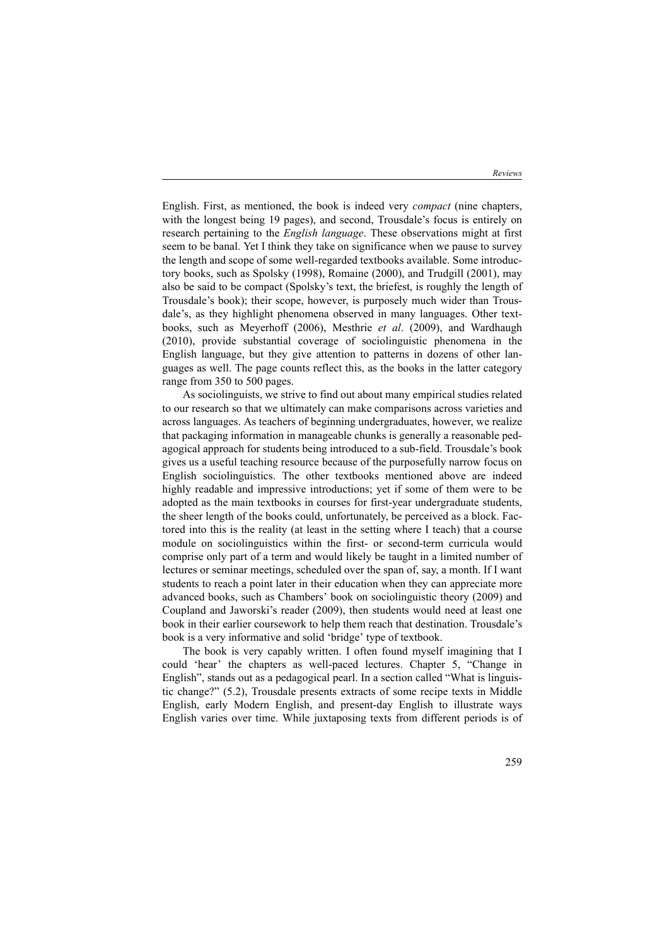English. First, as mentioned, the book is indeed very *compact* (nine chapters, with the longest being 19 pages), and second, Trousdale's focus is entirely on research pertaining to the *English language*. These observations might at first seem to be banal. Yet I think they take on significance when we pause to survey the length and scope of some well-regarded textbooks available. Some introductory books, such as Spolsky (1998), Romaine (2000), and Trudgill (2001), may also be said to be compact (Spolsky's text, the briefest, is roughly the length of Trousdale's book); their scope, however, is purposely much wider than Trousdale's, as they highlight phenomena observed in many languages. Other textbooks, such as Meyerhoff (2006), Mesthrie *et al*. (2009), and Wardhaugh (2010), provide substantial coverage of sociolinguistic phenomena in the English language, but they give attention to patterns in dozens of other languages as well. The page counts reflect this, as the books in the latter category range from 350 to 500 pages.

As sociolinguists, we strive to find out about many empirical studies related to our research so that we ultimately can make comparisons across varieties and across languages. As teachers of beginning undergraduates, however, we realize that packaging information in manageable chunks is generally a reasonable pedagogical approach for students being introduced to a sub-field. Trousdale's book gives us a useful teaching resource because of the purposefully narrow focus on English sociolinguistics. The other textbooks mentioned above are indeed highly readable and impressive introductions; yet if some of them were to be adopted as the main textbooks in courses for first-year undergraduate students, the sheer length of the books could, unfortunately, be perceived as a block. Factored into this is the reality (at least in the setting where I teach) that a course module on sociolinguistics within the first- or second-term curricula would comprise only part of a term and would likely be taught in a limited number of lectures or seminar meetings, scheduled over the span of, say, a month. If I want students to reach a point later in their education when they can appreciate more advanced books, such as Chambers' book on sociolinguistic theory (2009) and Coupland and Jaworski's reader (2009), then students would need at least one book in their earlier coursework to help them reach that destination. Trousdale's book is a very informative and solid 'bridge' type of textbook.

The book is very capably written. I often found myself imagining that I could 'hear' the chapters as well-paced lectures. Chapter 5, "Change in English", stands out as a pedagogical pearl. In a section called "What is linguistic change?" (5.2), Trousdale presents extracts of some recipe texts in Middle English, early Modern English, and present-day English to illustrate ways English varies over time. While juxtaposing texts from different periods is of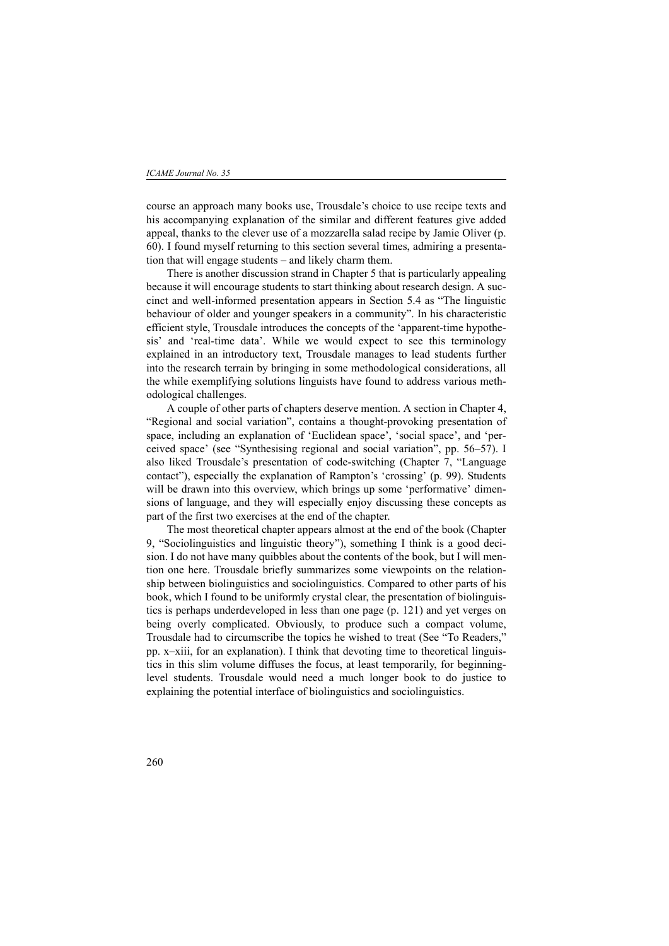course an approach many books use, Trousdale's choice to use recipe texts and his accompanying explanation of the similar and different features give added appeal, thanks to the clever use of a mozzarella salad recipe by Jamie Oliver (p. 60). I found myself returning to this section several times, admiring a presentation that will engage students – and likely charm them.

There is another discussion strand in Chapter 5 that is particularly appealing because it will encourage students to start thinking about research design. A succinct and well-informed presentation appears in Section 5.4 as "The linguistic behaviour of older and younger speakers in a community". In his characteristic efficient style, Trousdale introduces the concepts of the 'apparent-time hypothesis' and 'real-time data'. While we would expect to see this terminology explained in an introductory text, Trousdale manages to lead students further into the research terrain by bringing in some methodological considerations, all the while exemplifying solutions linguists have found to address various methodological challenges.

A couple of other parts of chapters deserve mention. A section in Chapter 4, "Regional and social variation", contains a thought-provoking presentation of space, including an explanation of 'Euclidean space', 'social space', and 'perceived space' (see "Synthesising regional and social variation", pp. 56–57). I also liked Trousdale's presentation of code-switching (Chapter 7, "Language contact"), especially the explanation of Rampton's 'crossing' (p. 99). Students will be drawn into this overview, which brings up some 'performative' dimensions of language, and they will especially enjoy discussing these concepts as part of the first two exercises at the end of the chapter.

The most theoretical chapter appears almost at the end of the book (Chapter 9, "Sociolinguistics and linguistic theory"), something I think is a good decision. I do not have many quibbles about the contents of the book, but I will mention one here. Trousdale briefly summarizes some viewpoints on the relationship between biolinguistics and sociolinguistics. Compared to other parts of his book, which I found to be uniformly crystal clear, the presentation of biolinguistics is perhaps underdeveloped in less than one page (p. 121) and yet verges on being overly complicated. Obviously, to produce such a compact volume, Trousdale had to circumscribe the topics he wished to treat (See "To Readers," pp. x–xiii, for an explanation). I think that devoting time to theoretical linguistics in this slim volume diffuses the focus, at least temporarily, for beginninglevel students. Trousdale would need a much longer book to do justice to explaining the potential interface of biolinguistics and sociolinguistics.